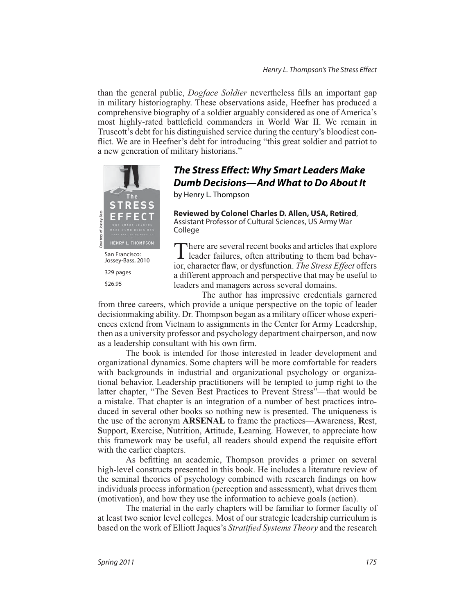than the general public, *Dogface Soldier* nevertheless fills an important gap in military historiography. These observations aside. Heefner has produced a comprehensive biography of a soldier arguably considered as one of America's most highly-rated battlefield commanders in World War II. We remain in Truscott's debt for his distinguished service during the century's bloodiest conflict. We are in Heefner's debt for introducing "this great soldier and patriot to a new generation of military historians."



## *The Stress Effect: Why Smart Leaders Make Dumb Decisions—And What to Do About It*

 $\mathcal{L}$  Henry L. Thompson  $\mathcal{L}$ 

**Reviewed by Colonel Charles D. Allen, USA, Retired**, Assistant Professor of Cultural Sciences, US Army War College

San Francisco:<br>Jossey-Bass, 2010 Jossey-Bass, 2010 329 pages \$26.95

There are several recent books and articles that explore<br>leader failures, often attributing to them bad behavrecent books and articles that explore ior, character flaw, or dysfunction. The Stress Effect offers a different approach and perspective that may be useful to leaders and managers across several domains.

The author has impressive credentials garnered from three careers, which provide a unique perspective on the topic of leader  $\alpha$  decision making ability. Dr. Thompson began as a military officer whose experiences extend from Vietnam to assignments in the Center for Army Leadership. then as a university professor and psychology department chairperson, and now as a leadership consultant with his own firm.

The book is intended for those interested in leader development and organizational dynamics. Some chapters will be more comfortable for readers with backgrounds in industrial and organizational psychology or organizational behavior. Leadership practitioners will be tempted to jump right to the latter chapter. "The Seven Best Practices to Prevent Stress"—that would be a mistake. That chapter is an integration of a number of best practices introduced in several other books so nothing new is presented. The uniqueness is the use of the acronym  $ARSENAL$  to frame the practices—Awareness, Rest, **Support, Exercise, Nutrition, Attitude, Learning, However, to appreciate how** this framework may be useful, all readers should expend the requisite effort with the earlier chapters.

As befitting an academic. Thompson provides a primer on several high-level constructs presented in this book. He includes a literature review of the seminal theories of psychology combined with research findings on how individuals process information (perception and assessment), what drives them (motivation), and how they use the information to achieve goals (action).

The material in the early chapters will be familiar to former faculty of at least two senior level colleges. Most of our strategic leadership curriculum is based on the work of Elliott Jaques's Stratified Systems Theory and the research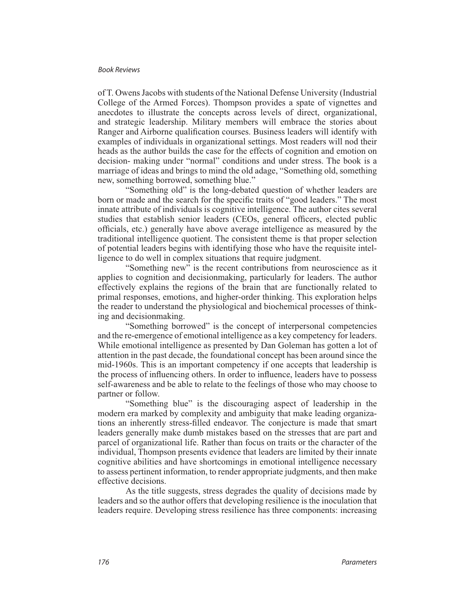## **Book Reviews**

of T. Owens Jacobs with students of the National Defense University (Industrial College of the Armed Forces). Thompson provides a spate of vignettes and anecdotes to illustrate the concepts across levels of direct, organizational, and strategic leadership. Military members will embrace the stories about Ranger and Airborne qualification courses. Business leaders will identify with examples of individuals in organizational settings. Most readers will nod their heads as the author builds the case for the effects of cognition and emotion on decision- making under "normal" conditions and under stress. The book is a marriage of ideas and brings to mind the old adage, "Something old, something new, something borrowed, something blue."

"Something old" is the long-debated question of whether leaders are born or made and the search for the specific traits of "good leaders." The most innate attribute of individuals is cognitive intelligence. The author cites several studies that establish senior leaders (CEOs, general officers, elected public officials, etc.) generally have above average intelligence as measured by the traditional intelligence quotient. The consistent theme is that proper selection of potential leaders begins with identifying those who have the requisite intelligence to do well in complex situations that require judgment.

"Something new" is the recent contributions from neuroscience as it applies to cognition and decisionmaking, particularly for leaders. The author effectively explains the regions of the brain that are functionally related to primal responses, emotions, and higher-order thinking. This exploration helps the reader to understand the physiological and biochemical processes of thinking and decision making.

"Something borrowed" is the concept of interpersonal competencies and the re-emergence of emotional intelligence as a key competency for leaders. While emotional intelligence as presented by Dan Goleman has gotten a lot of attention in the past decade, the foundational concept has been around since the mid-1960s. This is an important competency if one accepts that leadership is the process of influencing others. In order to influence, leaders have to possess self-awareness and be able to relate to the feelings of those who may choose to partner or follow.

"Something blue" is the discouraging aspect of leadership in the modern era marked by complexity and ambiguity that make leading organizations an inherently stress-filled endeavor. The conjecture is made that smart leaders generally make dumb mistakes based on the stresses that are part and parcel of organizational life. Rather than focus on traits or the character of the individual, Thompson presents evidence that leaders are limited by their innate cognitive abilities and have shortcomings in emotional intelligence necessary to assess pertinent information, to render appropriate judgments, and then make effective decisions.

As the title suggests, stress degrades the quality of decisions made by leaders and so the author offers that developing resilience is the inoculation that leaders require. Developing stress resilience has three components: increasing